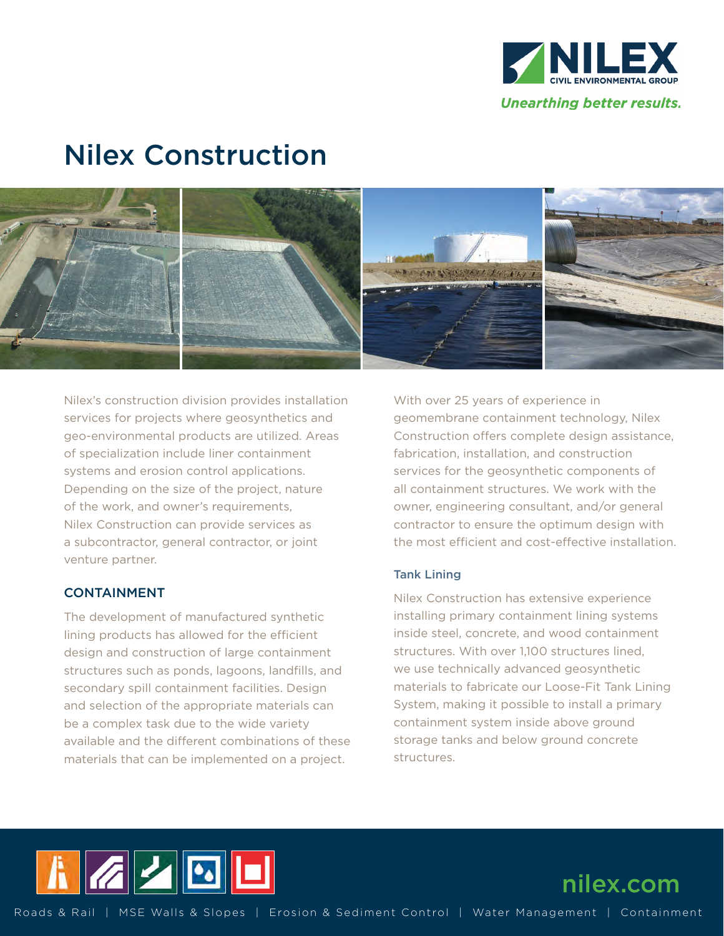

# Nilex Construction



Nilex's construction division provides installation services for projects where geosynthetics and geo-environmental products are utilized. Areas of specialization include liner containment systems and erosion control applications. Depending on the size of the project, nature of the work, and owner's requirements, Nilex Construction can provide services as a subcontractor, general contractor, or joint venture partner.

### CONTAINMENT

The development of manufactured synthetic lining products has allowed for the efficient design and construction of large containment structures such as ponds, lagoons, landfills, and secondary spill containment facilities. Design and selection of the appropriate materials can be a complex task due to the wide variety available and the different combinations of these materials that can be implemented on a project.

With over 25 years of experience in geomembrane containment technology, Nilex Construction offers complete design assistance, fabrication, installation, and construction services for the geosynthetic components of all containment structures. We work with the owner, engineering consultant, and/or general contractor to ensure the optimum design with the most efficient and cost-effective installation.

#### Tank Lining

Nilex Construction has extensive experience installing primary containment lining systems inside steel, concrete, and wood containment structures. With over 1,100 structures lined, we use technically advanced geosynthetic materials to fabricate our Loose-Fit Tank Lining System, making it possible to install a primary containment system inside above ground storage tanks and below ground concrete structures.



nilex.com

Roads & Rail | MSE Walls & Slopes | Erosion & Sediment Control | Water Management | Containment